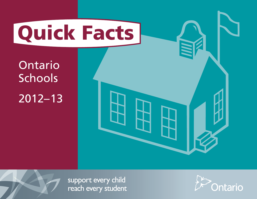

Ontario **Schools** 2012–13



support every child reach every student

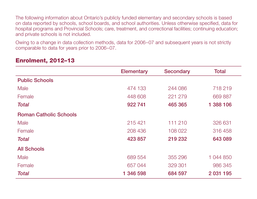The following information about Ontario's publicly funded elementary and secondary schools is based on data reported by schools, school boards, and school authorities. Unless otherwise specified, data for hospital programs and Provincial Schools; care, treatment, and correctional facilities; continuing education; and private schools is not included.

Owing to a change in data collection methods, data for 2006–07 and subsequent years is not strictly comparable to data for years prior to 2006–07.

| <b>Elementary</b> | <b>Secondary</b> | <b>Total</b> |
|-------------------|------------------|--------------|
|                   |                  |              |
| 474 133           | 244 086          | 718 219      |
| 448 608           | 221 279          | 669 887      |
| 922 741           | 465 365          | 1 388 106    |
|                   |                  |              |
| 215 421           | 111 210          | 326 631      |
| 208 436           | 108 022          | 316 458      |
| 423 857           | 219 232          | 643 089      |
|                   |                  |              |
| 689 554           | 355 296          | 1 044 850    |
| 657 044           | 329 301          | 986 345      |
| 1 346 598         | 684 597          | 2 031 195    |
|                   |                  |              |

#### Enrolment, 2012–13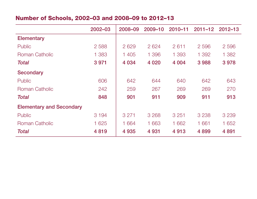# Number of Schools, 2002–03 and 2008–09 to 2012–13

|                                 | 2002-03 | 2008-09 | $2009 - 10$ | $2010 - 11$ | $2011 - 12$ | $2012 - 13$ |
|---------------------------------|---------|---------|-------------|-------------|-------------|-------------|
| <b>Elementary</b>               |         |         |             |             |             |             |
| <b>Public</b>                   | 2 5 8 8 | 2629    | 2624        | 2611        | 2 5 9 6     | 2 5 9 6     |
| Roman Catholic                  | 1 383   | 1 405   | 1 3 9 6     | 1 3 9 3     | 1 3 9 2     | 1 3 8 2     |
| <b>Total</b>                    | 3 9 7 1 | 4 0 34  | 4 0 2 0     | 4 0 0 4     | 3988        | 3978        |
| <b>Secondary</b>                |         |         |             |             |             |             |
| Public                          | 606     | 642     | 644         | 640         | 642         | 643         |
| Roman Catholic                  | 242     | 259     | 267         | 269         | 269         | 270         |
| <b>Total</b>                    | 848     | 901     | 911         | 909         | 911         | 913         |
| <b>Elementary and Secondary</b> |         |         |             |             |             |             |
| Public                          | 3 1 9 4 | 3 2 7 1 | 3 2 6 8     | 3 2 5 1     | 3 2 3 8     | 3 2 3 9     |
| <b>Roman Catholic</b>           | 1 625   | 1 664   | 1 663       | 1 662       | 1 661       | 1 652       |
| <b>Total</b>                    | 4819    | 4 9 3 5 | 4 9 31      | 4913        | 4899        | 4 8 91      |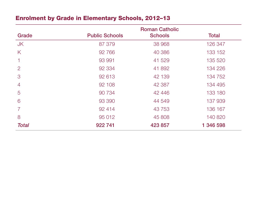# Enrolment by Grade in Elementary Schools, 2012–13

|                |                       | <b>Roman Catholic</b> |              |
|----------------|-----------------------|-----------------------|--------------|
| Grade          | <b>Public Schools</b> | <b>Schools</b>        | <b>Total</b> |
| <b>JK</b>      | 87 379                | 38 968                | 126 347      |
| K              | 92 766                | 40 386                | 133 152      |
|                | 93 991                | 41 529                | 135 520      |
| $\overline{2}$ | 92 334                | 41 892                | 134 226      |
| 3              | 92 613                | 42 139                | 134 752      |
| $\overline{4}$ | 92 108                | 42 3 87               | 134 495      |
| 5              | 90 734                | 42 446                | 133 180      |
| 6              | 93 390                | 44 549                | 137 939      |
| 7              | 92 414                | 43 7 53               | 136 167      |
| 8              | 95 012                | 45 808                | 140 820      |
| <b>Total</b>   | 922 741               | 423 857               | 1 346 598    |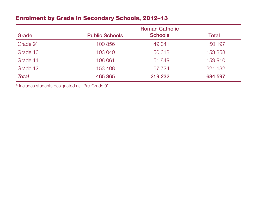# Enrolment by Grade in Secondary Schools, 2012–13

|                      |                       | <b>Roman Catholic</b> |         |
|----------------------|-----------------------|-----------------------|---------|
| Grade                | <b>Public Schools</b> | <b>Schools</b>        | Total   |
| Grade 9 <sup>*</sup> | 100 856               | 49 341                | 150 197 |
| Grade 10             | 103 040               | 50 318                | 153 358 |
| Grade 11             | 108 061               | 51 849                | 159 910 |
| Grade 12             | 153 408               | 67 724                | 221 132 |
| <b>Total</b>         | 465 365               | 219 232               | 684 597 |

\* Includes students designated as "Pre-Grade 9".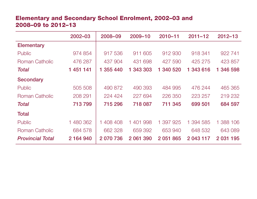# Elementary and Secondary School Enrolment, 2002–03 and 2008–09 to 2012–13

|                         | 2002-03   | 2008-09   | 2009-10     | $2010 - 11$  | $2011 - 12$ | $2012 - 13$ |
|-------------------------|-----------|-----------|-------------|--------------|-------------|-------------|
| <b>Elementary</b>       |           |           |             |              |             |             |
| Public                  | 974 854   | 917 536   | 911 605     | 912 930      | 918 341     | 922 741     |
| Roman Catholic          | 476 287   | 437 904   | 431 698     | 427 590      | 425 275     | 423 857     |
| <b>Total</b>            | 1 451 141 | 1 355 440 | 1 343 303   | 340 520<br>1 | 1 343 616   | 1 346 598   |
| <b>Secondary</b>        |           |           |             |              |             |             |
| Public                  | 505 508   | 490 872   | 490 393     | 484 995      | 476 244     | 465 365     |
| <b>Roman Catholic</b>   | 208 291   | 224 424   | 227 694     | 226 350      | 223 257     | 219 232     |
| <b>Total</b>            | 713799    | 715 296   | 718 087     | 711 345      | 699 501     | 684 597     |
| <b>Total</b>            |           |           |             |              |             |             |
| <b>Public</b>           | 1 480 362 | 1 408 408 | 1401<br>998 | 397 925      | 1 394 585   | 1 388 106   |
| Roman Catholic          | 684 578   | 662 328   | 659 392     | 653 940      | 648 532     | 643 089     |
| <b>Provincial Total</b> | 2 164 940 | 2 070 736 | 2 061 390   | 2 051 865    | 2 043 117   | 2 031 195   |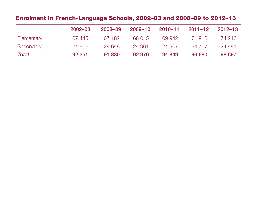# Enrolment in French-Language Schools, 2002–03 and 2008–09 to 2012–13

|              | 2002-03 | 2008-09 | 2009-10 | 2010-11 | $2011 - 12$ | $2012 - 13$ |
|--------------|---------|---------|---------|---------|-------------|-------------|
| Elementary   | 67445   | 67 182  | 68 015  | 69 942  | 71 913      | 74 216      |
| Secondary    | 24 906  | 24 648  | 24 961  | 24 907  | 24 7 6 7    | 24 481      |
| <b>Total</b> | 92 351  | 91 830  | 92 976  | 94 849  | 96 680      | 98 697      |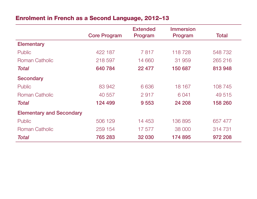# Enrolment in French as a Second Language, 2012–13

|                                 | <b>Core Program</b> | <b>Extended</b><br>Program | <b>Immersion</b><br>Program | <b>Total</b> |
|---------------------------------|---------------------|----------------------------|-----------------------------|--------------|
|                                 |                     |                            |                             |              |
| <b>Elementary</b>               |                     |                            |                             |              |
| Public                          | 422 187             | 7817                       | 118728                      | 548 732      |
| Roman Catholic                  | 218 597             | 14 660                     | 31 959                      | 265 216      |
| <b>Total</b>                    | 640 784             | 22 477                     | 150 687                     | 813948       |
| <b>Secondary</b>                |                     |                            |                             |              |
| <b>Public</b>                   | 83 942              | 6 6 3 6                    | 18 167                      | 108 745      |
| <b>Roman Catholic</b>           | 40 557              | 2917                       | 6 0 4 1                     | 49 515       |
| <b>Total</b>                    | 124 499             | 9 5 5 3                    | 24 208                      | 158 260      |
| <b>Elementary and Secondary</b> |                     |                            |                             |              |
| <b>Public</b>                   | 506 129             | 14 453                     | 136 895                     | 657 477      |
| <b>Roman Catholic</b>           | 259 154             | 17 577                     | 38 000                      | 314 731      |
| <b>Total</b>                    | 765 283             | 32 030                     | 174 895                     | 972 208      |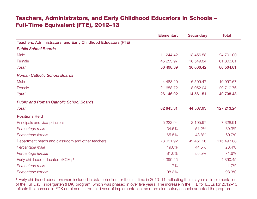#### Teachers, Administrators, and Early Childhood Educators in Schools – Full-Time Equivalent (FTE), 2012–13

|                                                               | Elementary | <b>Secondary</b> | <b>Total</b> |
|---------------------------------------------------------------|------------|------------------|--------------|
| Teachers, Administrators, and Early Childhood Educators (FTE) |            |                  |              |
| <b>Public School Boards</b>                                   |            |                  |              |
| Male                                                          | 11 244.42  | 13 456.58        | 24 701.00    |
| Female                                                        | 45 253.97  | 16 549.84        | 61 803.81    |
| <b>Total</b>                                                  | 56 498.39  | 30 006.42        | 86 504.81    |
| <b>Roman Catholic School Boards</b>                           |            |                  |              |
| Male                                                          | 4 4 8 8.20 | 6 509.47         | 10 997.67    |
| Female                                                        | 21 658.72  | 8 0 5 2 . 0 4    | 29 710.76    |
| <b>Total</b>                                                  | 26 146.92  | 14 561.51        | 40 708.43    |
| <b>Public and Roman Catholic School Boards</b>                |            |                  |              |
| <b>Total</b>                                                  | 82 645.31  | 44 567.93        | 127 213.24   |
| <b>Positions Held</b>                                         |            |                  |              |
| Principals and vice-principals                                | 5 222.94   | 2 105.97         | 7 328.91     |
| Percentage male                                               | 34.5%      | 51.2%            | 39.3%        |
| Percentage female                                             | 65.5%      | 48.8%            | 60.7%        |
| Department heads and classroom and other teachers             | 73 031.92  | 42 461.96        | 115 493.88   |
| Percentage male                                               | 19.0%      | 44.5%            | 28.4%        |
| Percentage female                                             | 81.0%      | 55.5%            | 71.6%        |
| Early childhood educators (ECEs)*                             | 4 390.45   |                  | 4 390.45     |
| Percentage male                                               | 1.7%       |                  | 1.7%         |
| Percentage female                                             | 98.3%      |                  | 98.3%        |

\* Early childhood educators were included in data collection for the first time in 2010–11, reflecting the first year of implementation of the Full Day Kindergarten (FDK) program, which was phased in over five years. The increase in the FTE for ECEs for 2012–13 reflects the increase in FDK enrolment in the third year of implementation, as more elementary schools adopted the program.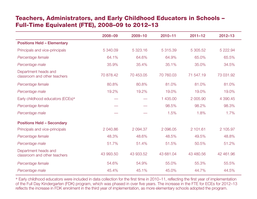# Teachers, Administrators, and Early Childhood Educators in Schools – Full-Time Equivalent (FTE), 2008–09 to 2012–13

|                                                      | $2008 - 09$ | $2009 - 10$ | $2010 - 11$ | $2011 - 12$ | $2012 - 13$ |
|------------------------------------------------------|-------------|-------------|-------------|-------------|-------------|
| <b>Positions Held - Elementary</b>                   |             |             |             |             |             |
| Principals and vice-principals                       | 5 340.09    | 5 323.16    | 5 315.39    | 5 305.52    | 5 222.94    |
| Percentage female                                    | 64.1%       | 64.6%       | 64.9%       | 65.0%       | 65.5%       |
| Percentage male                                      | 35.9%       | 35.4%       | 35.1%       | 35.0%       | 34.5%       |
| Department heads and<br>classroom and other teachers | 70 878.42   | 70 453.05   | 70 760.03   | 71 547.19   | 73 031.92   |
| Percentage female                                    | 80.8%       | 80.8%       | 81.0%       | 81.0%       | 81.0%       |
| Percentage male                                      | 19.2%       | 19.2%       | 19.0%       | 19.0%       | 19.0%       |
| Early childhood educators (ECEs)*                    |             |             | 1 435.00    | 2 005.90    | 4 390.45    |
| Percentage female                                    |             |             | 98.5%       | 98.2%       | 98.3%       |
| Percentage male                                      |             |             | 1.5%        | 1.8%        | 1.7%        |
| <b>Positions Held - Secondary</b>                    |             |             |             |             |             |
| Principals and vice-principals                       | 2 040.86    | 2 094.37    | 2 096.05    | 2 101.61    | 2 105.97    |
| Percentage female                                    | 48.3%       | 48.6%       | 48.5%       | 49.5%       | 48.8%       |
| Percentage male                                      | 51.7%       | 51.4%       | 51.5%       | 50.5%       | 51.2%       |
| Department heads and<br>classroom and other teachers | 43 993.50   | 43 933.52   | 43 681.04   | 43 480.56   | 42 461.96   |
| Percentage female                                    | 54.6%       | 54.9%       | 55.0%       | 55.3%       | 55.5%       |
| Percentage male                                      | 45.4%       | 45.1%       | 45.0%       | 44.7%       | 44.5%       |

\* Early childhood educators were included in data collection for the first time in 2010–11, reflecting the first year of implementation of the Full Day Kindergarten (FDK) program, which was phased in over five years. The increase in the FTE for ECEs for 2012–13 reflects the increase in FDK enrolment in the third year of implementation, as more elementary schools adopted the program.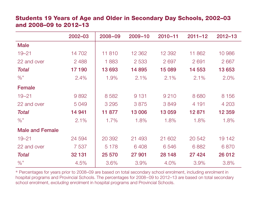#### Students 19 Years of Age and Older in Secondary Day Schools, 2002–03 and 2008–09 to 2012–13

|                        | 2002-03 | 2008-09 | $2009 - 10$ | $2010 - 11$ | $2011 - 12$ | $2012 - 13$ |
|------------------------|---------|---------|-------------|-------------|-------------|-------------|
| <b>Male</b>            |         |         |             |             |             |             |
| $19 - 21$              | 14 702  | 11810   | 12 3 62     | 12 392      | 11 862      | 10 986      |
| 22 and over            | 2 4 8 8 | 1883    | 2 5 3 3     | 2697        | 2691        | 2 6 6 7     |
| <b>Total</b>           | 17 190  | 13 693  | 14 895      | 15 089      | 14 553      | 13 653      |
| $\%$ *                 | 2.4%    | 1.9%    | 2.1%        | 2.1%        | 2.1%        | 2.0%        |
| <b>Female</b>          |         |         |             |             |             |             |
| $19 - 21$              | 9892    | 8 5 8 2 | 9 1 3 1     | 9 2 1 0     | 8 6 8 0     | 8 1 5 6     |
| 22 and over            | 5 0 4 9 | 3 2 9 5 | 3875        | 3849        | 4 1 9 1     | 4 203       |
| <b>Total</b>           | 14 941  | 11 877  | 13 006      | 13 059      | 12871       | 12 3 5 9    |
| $\%$ *                 | 2.1%    | 1.7%    | 1.8%        | 1.8%        | 1.8%        | 1.8%        |
| <b>Male and Female</b> |         |         |             |             |             |             |
| $19 - 21$              | 24 594  | 20 392  | 21 493      | 21 602      | 20 542      | 19 142      |
| 22 and over            | 7 5 3 7 | 5 1 7 8 | 6408        | 6546        | 6882        | 6870        |
| <b>Total</b>           | 32 131  | 25 570  | 27 901      | 28 148      | 27 4 24     | 26 012      |
| $\%$ *                 | 4.5%    | 3.6%    | 3.9%        | 4.0%        | 3.9%        | 3.8%        |

\* Percentages for years prior to 2008–09 are based on total secondary school enrolment, including enrolment in hospital programs and Provincial Schools. The percentages for 2008–09 to 2012–13 are based on total secondary school enrolment, *excluding* enrolment in hospital programs and Provincial Schools.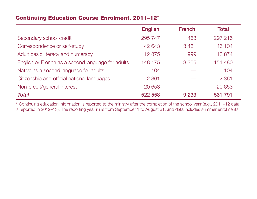#### Continuing Education Course Enrolment, 2011–12\*

|                                                   | <b>English</b> | <b>French</b> | <b>Total</b> |
|---------------------------------------------------|----------------|---------------|--------------|
| Secondary school credit                           | 295 747        | 1468          | 297 215      |
| Correspondence or self-study                      | 42 643         | 3461          | 46 104       |
| Adult basic literacy and numeracy                 | 12875          | 999           | 13874        |
| English or French as a second language for adults | 148 175        | 3 3 0 5       | 151 480      |
| Native as a second language for adults            | 104            |               | 104          |
| Citizenship and official national languages       | 2 3 6 1        |               | 2 3 6 1      |
| Non-credit/general interest                       | 20 653         |               | 20 653       |
| <b>Total</b>                                      | 522 558        | 9 2 3 3       | 531 791      |

\* Continuing education information is reported to the ministry after the completion of the school year (e.g., 2011–12 data is reported in 2012–13). The reporting year runs from September 1 to August 31, and data includes summer enrolments.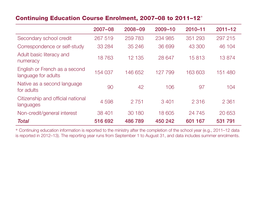#### Continuing Education Course Enrolment, 2007–08 to 2011–12\*

|                                                      | $2007 - 08$ | $2008 - 09$ | $2009 - 10$ | $2010 - 11$ | $2011 - 12$ |
|------------------------------------------------------|-------------|-------------|-------------|-------------|-------------|
| Secondary school credit                              | 267 519     | 259 783     | 234 985     | 351 293     | 297 215     |
| Correspondence or self-study                         | 33 2 84     | 35 246      | 36 699      | 43 300      | 46 104      |
| Adult basic literacy and<br>numeracy                 | 18763       | 12 135      | 28 647      | 15813       | 13874       |
| English or French as a second<br>language for adults | 154 037     | 146 652     | 127 799     | 163 603     | 151 480     |
| Native as a second language<br>for adults            | 90          | 42          | 106         | 97          | 104         |
| Citizenship and official national<br>languages       | 4598        | 2 7 5 1     | 3 4 0 1     | 2 3 1 6     | 2 3 6 1     |
| Non-credit/general interest                          | 38 401      | 30 180      | 18 605      | 24 745      | 20 653      |
| <b>Total</b>                                         | 516 692     | 486789      | 450 242     | 601 167     | 531 791     |

\* Continuing education information is reported to the ministry after the completion of the school year (e.g., 2011–12 data is reported in 2012–13). The reporting year runs from September 1 to August 31, and data includes summer enrolments.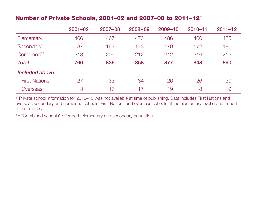#### Number of Private Schools, 2001–02 and 2007–08 to 2011–12\*

|                      | $2001 - 02$ | $2007 - 08$ | $2008 - 09$ | $2009 - 10$ | $2010 - 11$ | $2011 - 12$ |
|----------------------|-------------|-------------|-------------|-------------|-------------|-------------|
| Elementary           | 466         | 467         | 473         | 486         | 460         | 485         |
| Secondary            | 87          | 163         | 173         | 179         | 172         | 186         |
| Combined**           | 213         | 206         | 212         | 212         | 216         | 219         |
| <b>Total</b>         | 766         | 836         | 858         | 877         | 848         | 890         |
| Included above:      |             |             |             |             |             |             |
| <b>First Nations</b> | 27          | 33          | 34          | 26          | 26          | 30          |
| Overseas             | 13          | 17          | 17          | 19          | 18          | 19          |

\* Private school information for 2012–13 was not available at time of publishing. Data includes First Nations and overseas secondary and combined schools. First Nations and overseas schools at the elementary level do not report to the ministry.

\*\* "Combined schools" offer both elementary and secondary education.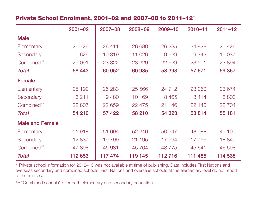#### Private School Enrolment, 2001–02 and 2007–08 to 2011–12\*

|                        | $2001 - 02$ | 2007-08 | $2008 - 09$ | $2009 - 10$ | $2010 - 11$ | $2011 - 12$ |
|------------------------|-------------|---------|-------------|-------------|-------------|-------------|
| <b>Male</b>            |             |         |             |             |             |             |
| Elementary             | 26 7 26     | 26 411  | 26 680      | 26 235      | 24 828      | 25 4 26     |
| Secondary              | 6 6 2 6     | 10 319  | 11 0 26     | 9529        | 9 3 4 2     | 10 037      |
| Combined**             | 25 091      | 23 3 22 | 23 2 29     | 22 629      | 23 501      | 23 894      |
| Total                  | 58 4 43     | 60 052  | 60 935      | 58 393      | 57 671      | 59 357      |
| <b>Female</b>          |             |         |             |             |             |             |
| Elementary             | 25 192      | 25 2 83 | 25 5 6 6    | 24 7 12     | 23 260      | 23 674      |
| Secondary              | 6 2 1 1     | 9 4 8 0 | 10 169      | 8 4 6 5     | 8414        | 8 8 0 3     |
| Combined**             | 22 807      | 22 659  | 22 475      | 21 146      | 22 140      | 22 704      |
| Total                  | 54 210      | 57 422  | 58 210      | 54 323      | 53 814      | 55 181      |
| <b>Male and Female</b> |             |         |             |             |             |             |
| Elementary             | 51 918      | 51 694  | 52 246      | 50 947      | 48 088      | 49 100      |
| Secondary              | 12 837      | 19799   | 21 195      | 17 994      | 17 756      | 18 840      |
| Combined**             | 47 898      | 45 981  | 45 704      | 43 7 7 5    | 45 641      | 46 598      |
| <b>Total</b>           | 112 653     | 117474  | 119 145     | 112716      | 111 485     | 114 538     |

\* Private school information for 2012–13 was not available at time of publishing. Data includes First Nations and overseas secondary and combined schools. First Nations and overseas schools at the elementary level do not report to the ministry.

\*\* "Combined schools" offer both elementary and secondary education.